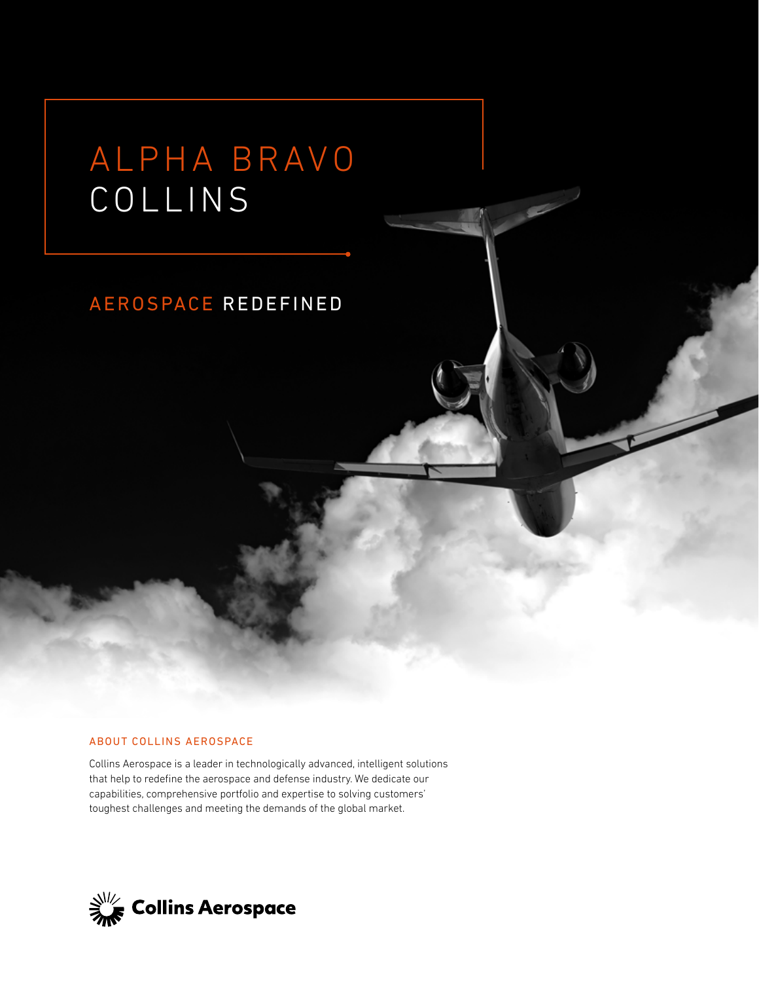# ALPHA BRAVO COLLINS

### AEROSPACE REDEFINED

#### ABOUT COLLINS AEROSPACE

Collins Aerospace is a leader in technologically advanced, intelligent solutions that help to redefine the aerospace and defense industry. We dedicate our capabilities, comprehensive portfolio and expertise to solving customers' toughest challenges and meeting the demands of the global market.

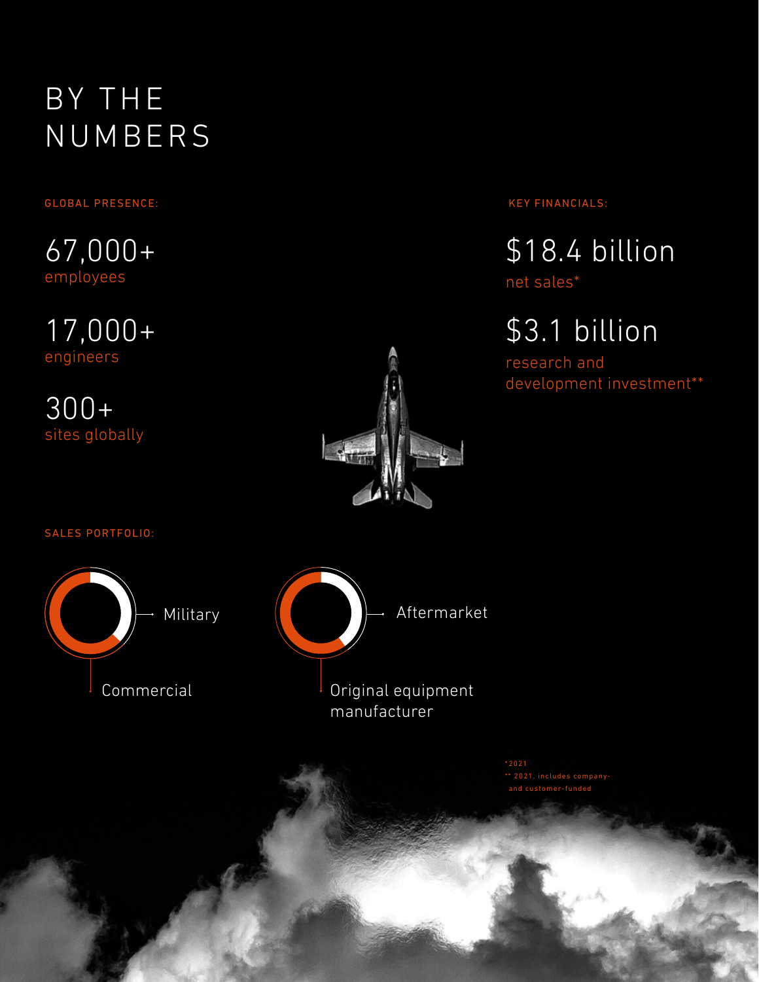### BY THE NUMBERS

### GLOBAL PRESENCE:

67,000+ employees

17,000+ engineers

300+ sites globally



KEY FINANCIALS:

\$18.4 billion

net sales\*

\$3.1 billion

research and development investment\*\*

SALES PORTFOLIO:





\* 2021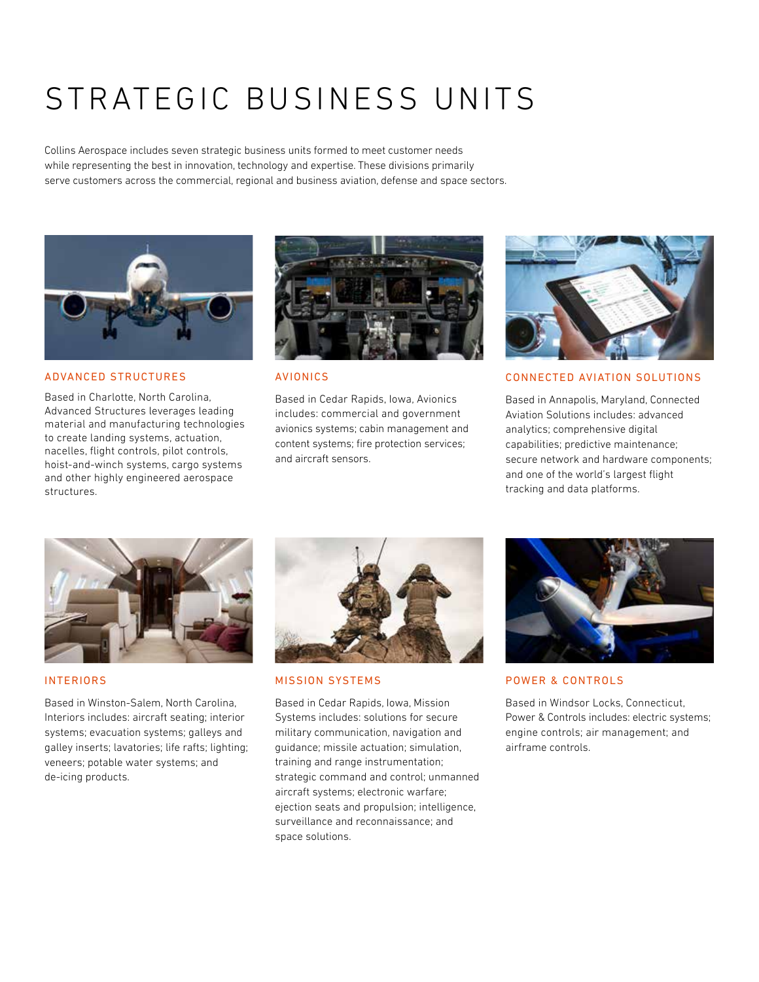## STRATEGIC BUSINESS UNITS

Collins Aerospace includes seven strategic business units formed to meet customer needs while representing the best in innovation, technology and expertise. These divisions primarily serve customers across the commercial, regional and business aviation, defense and space sectors.



ADVANCED STRUCTURES

Based in Charlotte, North Carolina, Advanced Structures leverages leading material and manufacturing technologies to create landing systems, actuation, nacelles, flight controls, pilot controls, hoist-and-winch systems, cargo systems and other highly engineered aerospace structures.



#### AVIONICS

Based in Cedar Rapids, Iowa, Avionics includes: commercial and government avionics systems; cabin management and content systems; fire protection services; and aircraft sensors.



#### CONNECTED AVIATION SOLUTIONS

Based in Annapolis, Maryland, Connected Aviation Solutions includes: advanced analytics; comprehensive digital capabilities; predictive maintenance; secure network and hardware components; and one of the world's largest flight tracking and data platforms.



#### **INTERIORS**

Based in Winston-Salem, North Carolina, Interiors includes: aircraft seating; interior systems; evacuation systems; galleys and galley inserts; lavatories; life rafts; lighting; veneers; potable water systems; and de-icing products.



#### MISSION SYSTEMS

Based in Cedar Rapids, Iowa, Mission Systems includes: solutions for secure military communication, navigation and guidance; missile actuation; simulation, training and range instrumentation; strategic command and control; unmanned aircraft systems; electronic warfare; ejection seats and propulsion; intelligence, surveillance and reconnaissance; and space solutions.



#### POWER & CONTROLS

Based in Windsor Locks, Connecticut, Power & Controls includes: electric systems; engine controls; air management; and airframe controls.